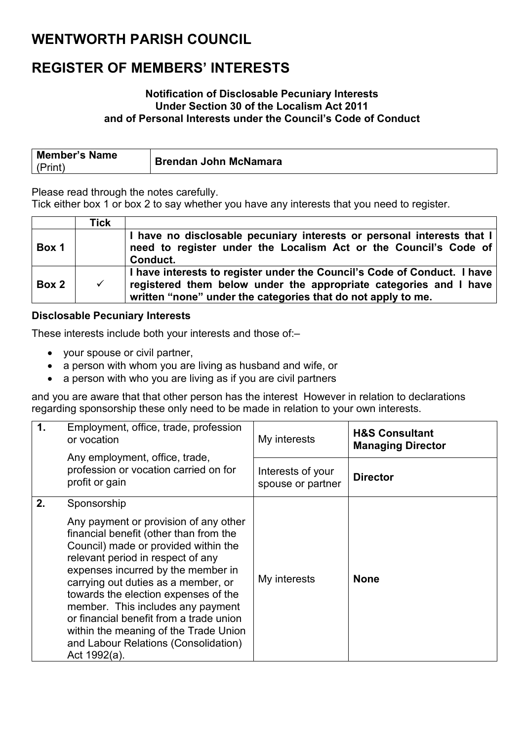### **WENTWORTH PARISH COUNCIL**

# **REGISTER OF MEMBERS' INTERESTS**

#### **Notification of Disclosable Pecuniary Interests Under Section 30 of the Localism Act 2011 and of Personal Interests under the Council's Code of Conduct**

| Member's Name | <b>Brendan John McNamara</b> |
|---------------|------------------------------|
| (Print)       |                              |

Please read through the notes carefully.

Tick either box 1 or box 2 to say whether you have any interests that you need to register.

|       | Tick         |                                                                                                                                                                                                               |
|-------|--------------|---------------------------------------------------------------------------------------------------------------------------------------------------------------------------------------------------------------|
| Box 1 |              | I have no disclosable pecuniary interests or personal interests that I<br>need to register under the Localism Act or the Council's Code of<br>Conduct.                                                        |
| Box 2 | $\checkmark$ | I have interests to register under the Council's Code of Conduct. I have<br>registered them below under the appropriate categories and I have<br>written "none" under the categories that do not apply to me. |

### **Disclosable Pecuniary Interests**

These interests include both your interests and those of:–

- your spouse or civil partner,
- a person with whom you are living as husband and wife, or
- a person with who you are living as if you are civil partners

and you are aware that that other person has the interest However in relation to declarations regarding sponsorship these only need to be made in relation to your own interests.

| $\mathbf 1$ . | Employment, office, trade, profession<br>or vocation                                                                                                                                                                                                                                                                                                                                                                                                                              | My interests                           | <b>H&amp;S Consultant</b><br><b>Managing Director</b> |
|---------------|-----------------------------------------------------------------------------------------------------------------------------------------------------------------------------------------------------------------------------------------------------------------------------------------------------------------------------------------------------------------------------------------------------------------------------------------------------------------------------------|----------------------------------------|-------------------------------------------------------|
|               | Any employment, office, trade,<br>profession or vocation carried on for<br>profit or gain                                                                                                                                                                                                                                                                                                                                                                                         | Interests of your<br>spouse or partner | <b>Director</b>                                       |
| 2.            | Sponsorship<br>Any payment or provision of any other<br>financial benefit (other than from the<br>Council) made or provided within the<br>relevant period in respect of any<br>expenses incurred by the member in<br>carrying out duties as a member, or<br>towards the election expenses of the<br>member. This includes any payment<br>or financial benefit from a trade union<br>within the meaning of the Trade Union<br>and Labour Relations (Consolidation)<br>Act 1992(a). | My interests                           | <b>None</b>                                           |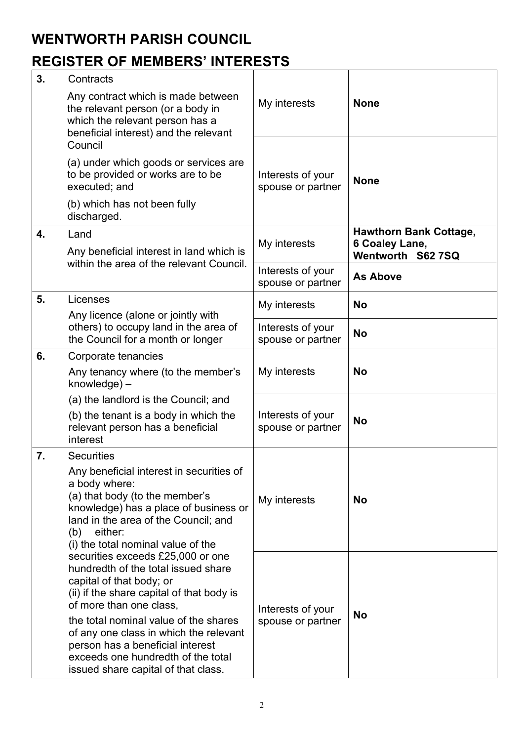## **WENTWORTH PARISH COUNCIL**

# **REGISTER OF MEMBERS' INTERESTS**

| 3. | Contracts                                                                                                                                                                                                                                                                                                                                                                        |                                        |                                                                      |
|----|----------------------------------------------------------------------------------------------------------------------------------------------------------------------------------------------------------------------------------------------------------------------------------------------------------------------------------------------------------------------------------|----------------------------------------|----------------------------------------------------------------------|
|    | Any contract which is made between<br>the relevant person (or a body in<br>which the relevant person has a<br>beneficial interest) and the relevant                                                                                                                                                                                                                              | My interests                           | <b>None</b>                                                          |
|    | Council<br>(a) under which goods or services are                                                                                                                                                                                                                                                                                                                                 | Interests of your<br>spouse or partner | <b>None</b>                                                          |
|    | to be provided or works are to be<br>executed; and                                                                                                                                                                                                                                                                                                                               |                                        |                                                                      |
|    | (b) which has not been fully<br>discharged.                                                                                                                                                                                                                                                                                                                                      |                                        |                                                                      |
| 4. | Land<br>Any beneficial interest in land which is                                                                                                                                                                                                                                                                                                                                 | My interests                           | <b>Hawthorn Bank Cottage,</b><br>6 Coaley Lane,<br>Wentworth S62 7SQ |
|    | within the area of the relevant Council.                                                                                                                                                                                                                                                                                                                                         | Interests of your<br>spouse or partner | <b>As Above</b>                                                      |
| 5. | Licenses<br>Any licence (alone or jointly with<br>others) to occupy land in the area of<br>the Council for a month or longer                                                                                                                                                                                                                                                     | My interests                           | <b>No</b>                                                            |
|    |                                                                                                                                                                                                                                                                                                                                                                                  | Interests of your<br>spouse or partner | <b>No</b>                                                            |
| 6. | Corporate tenancies                                                                                                                                                                                                                                                                                                                                                              | My interests                           |                                                                      |
|    | Any tenancy where (to the member's<br>$k$ nowledge $)$ –                                                                                                                                                                                                                                                                                                                         |                                        | <b>No</b>                                                            |
|    | (a) the landlord is the Council; and                                                                                                                                                                                                                                                                                                                                             |                                        |                                                                      |
|    | (b) the tenant is a body in which the<br>relevant person has a beneficial<br>interest                                                                                                                                                                                                                                                                                            | Interests of your<br>spouse or partner | <b>No</b>                                                            |
| 7. | <b>Securities</b>                                                                                                                                                                                                                                                                                                                                                                |                                        |                                                                      |
|    | Any beneficial interest in securities of<br>a body where:<br>(a) that body (to the member's<br>knowledge) has a place of business or<br>land in the area of the Council; and<br>(b) either:<br>(i) the total nominal value of the                                                                                                                                                | My interests                           | <b>No</b>                                                            |
|    | securities exceeds £25,000 or one<br>hundredth of the total issued share<br>capital of that body; or<br>(ii) if the share capital of that body is<br>of more than one class,<br>the total nominal value of the shares<br>of any one class in which the relevant<br>person has a beneficial interest<br>exceeds one hundredth of the total<br>issued share capital of that class. | Interests of your<br>spouse or partner | <b>No</b>                                                            |